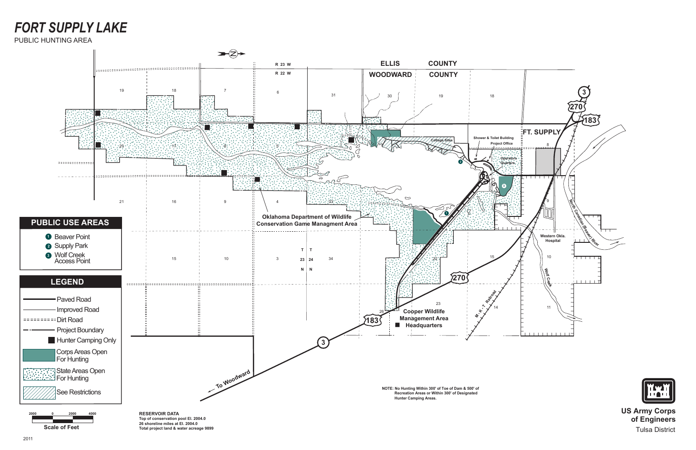**Scale of Feet**



**US Army Corps of Engineers** Tulsa District

## *FORT SUPPLY LAKE*



#### PUBLIC HUNTING AREA

**26 shoreline miles at El. 2004.0 Total project land & water acreage 9899**